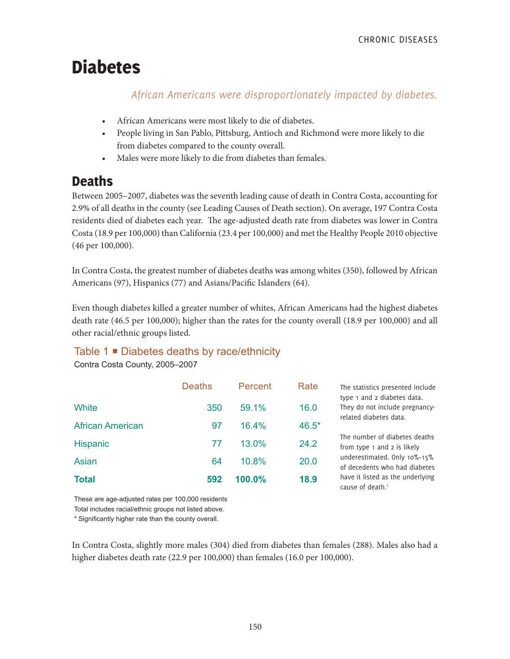# Diabetes

*African Americans were disproportionately impacted by diabetes.*

- African Americans were most likely to die of diabetes.
- People living in San Pablo, Pittsburg, Antioch and Richmond were more likely to die from diabetes compared to the county overall.
- Males were more likely to die from diabetes than females.

# **Deaths**

Between 2005–2007, diabetes was the seventh leading cause of death in Contra Costa, accounting for 2.9% of all deaths in the county (see Leading Causes of Death section). On average, 197 Contra Costa residents died of diabetes each year. The age-adjusted death rate from diabetes was lower in Contra Costa (18.9 per 100,000) than California (23.4 per 100,000) and met the Healthy People 2010 objective (46 per 100,000).

In Contra Costa, the greatest number of diabetes deaths was among whites (350), followed by African Americans (97), Hispanics (77) and Asians/Pacific Islanders (64).

Even though diabetes killed a greater number of whites, African Americans had the highest diabetes death rate (46.5 per 100,000); higher than the rates for the county overall (18.9 per 100,000) and all other racial/ethnic groups listed.

# Table 1 **■** Diabetes deaths by race/ethnicity

Contra Costa County, 2005–2007

|                         | <b>Deaths</b> | Percent | Rate  | The statistics presented include<br>type 1 and 2 diabetes data.  |  |
|-------------------------|---------------|---------|-------|------------------------------------------------------------------|--|
| White                   | 350           | 59.1%   | 16.0  | They do not include pregnancy-<br>related diabetes data.         |  |
| <b>African American</b> | 97            | 16.4%   | 46.5* |                                                                  |  |
| <b>Hispanic</b>         | 77            | 13.0%   | 24.2  | The number of diabetes deaths<br>from type 1 and 2 is likely     |  |
| Asian                   | 64            | 10.8%   | 20.0  | underestimated. Only 10%-15%<br>of decedents who had diabetes    |  |
| <b>Total</b>            | 592           | 100.0%  | 18.9  | have it listed as the underlying<br>cause of death. <sup>1</sup> |  |

These are age-adjusted rates per 100,000 residents

Total includes racial/ethnic groups not listed above.

\* Significantly higher rate than the county overall.

In Contra Costa, slightly more males (304) died from diabetes than females (288). Males also had a higher diabetes death rate (22.9 per 100,000) than females (16.0 per 100,000).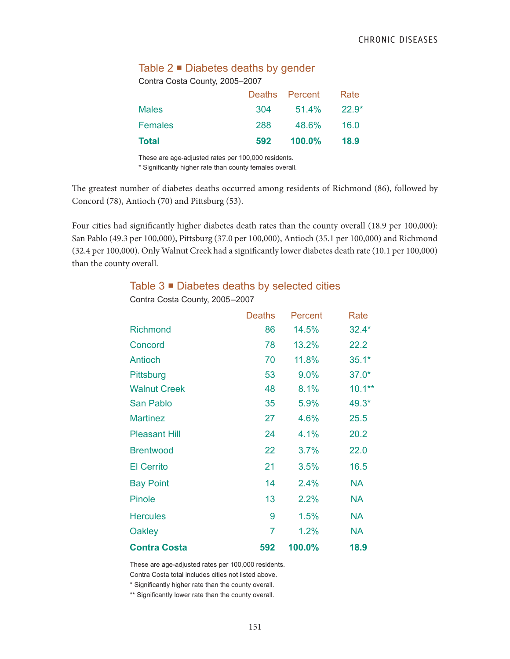#### Table  $2 \blacksquare$  Diabetes deaths by gender

Contra Costa County, 2005–2007

|         |     | Deaths Percent | Rate    |
|---------|-----|----------------|---------|
| Males   | 304 | 51.4%          | $22.9*$ |
| Females | 288 | 48.6%          | 16.0    |
| Total   | 592 | 100.0%         | 18.9    |

These are age-adjusted rates per 100,000 residents.

\* Significantly higher rate than county females overall.

The greatest number of diabetes deaths occurred among residents of Richmond (86), followed by Concord (78), Antioch (70) and Pittsburg (53).

Four cities had significantly higher diabetes death rates than the county overall (18.9 per 100,000): San Pablo (49.3 per 100,000), Pittsburg (37.0 per 100,000), Antioch (35.1 per 100,000) and Richmond (32.4 per 100,000). Only Walnut Creek had a significantly lower diabetes death rate (10.1 per 100,000) than the county overall.

#### Table 3 ■ Diabetes deaths by selected cities

|                      | <b>Deaths</b>  | Percent | Rate      |
|----------------------|----------------|---------|-----------|
| Richmond             | 86             | 14.5%   | $32.4*$   |
| Concord              | 78             | 13.2%   | 22.2      |
| Antioch              | 70             | 11.8%   | $35.1*$   |
| Pittsburg            | 53             | 9.0%    | $37.0*$   |
| <b>Walnut Creek</b>  | 48             | 8.1%    | $10.1***$ |
| San Pablo            | 35             | 5.9%    | 49.3*     |
| <b>Martinez</b>      | 27             | 4.6%    | 25.5      |
| <b>Pleasant Hill</b> | 24             | 4.1%    | 20.2      |
| <b>Brentwood</b>     | 22             | 3.7%    | 22.0      |
| <b>El Cerrito</b>    | 21             | 3.5%    | 16.5      |
| <b>Bay Point</b>     | 14             | 2.4%    | <b>NA</b> |
| <b>Pinole</b>        | 13             | 2.2%    | <b>NA</b> |
| <b>Hercules</b>      | 9              | 1.5%    | <b>NA</b> |
| Oakley               | $\overline{7}$ | 1.2%    | <b>NA</b> |
| <b>Contra Costa</b>  | 592            | 100.0%  | 18.9      |

Contra Costa County, 2005–2007

These are age-adjusted rates per 100,000 residents.

Contra Costa total includes cities not listed above.

\* Significantly higher rate than the county overall.

\*\* Significantly lower rate than the county overall.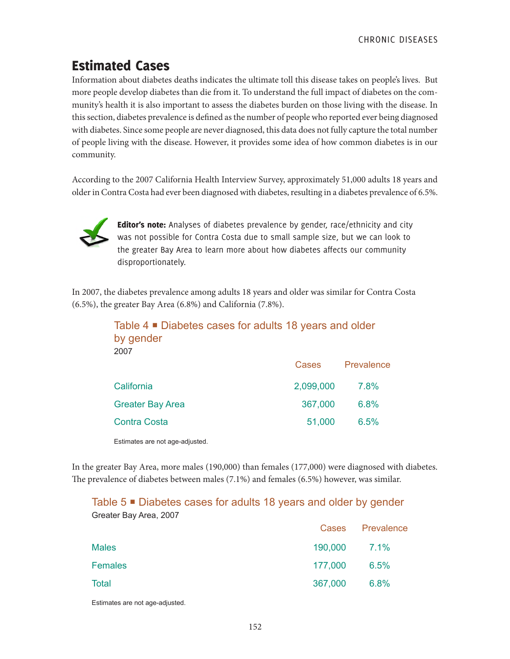# Estimated Cases

Information about diabetes deaths indicates the ultimate toll this disease takes on people's lives. But more people develop diabetes than die from it. To understand the full impact of diabetes on the community's health it is also important to assess the diabetes burden on those living with the disease. In this section, diabetes prevalence is defined as the number of people who reported ever being diagnosed with diabetes. Since some people are never diagnosed, this data does not fully capture the total number of people living with the disease. However, it provides some idea of how common diabetes is in our community.

According to the 2007 California Health Interview Survey, approximately 51,000 adults 18 years and older in Contra Costa had ever been diagnosed with diabetes, resulting in a diabetes prevalence of 6.5%.



Editor's note: Analyses of diabetes prevalence by gender, race/ethnicity and city was not possible for Contra Costa due to small sample size, but we can look to the greater Bay Area to learn more about how diabetes affects our community disproportionately.

In 2007, the diabetes prevalence among adults 18 years and older was similar for Contra Costa (6.5%), the greater Bay Area (6.8%) and California (7.8%).

| Table 4 ■ Diabetes cases for adults 18 years and older<br>by gender<br>2007 |           |            |
|-----------------------------------------------------------------------------|-----------|------------|
|                                                                             | Cases     | Prevalence |
| California                                                                  | 2,099,000 | 7.8%       |
| <b>Greater Bay Area</b>                                                     | 367,000   | 6.8%       |
| <b>Contra Costa</b>                                                         | 51,000    | 6.5%       |
|                                                                             |           |            |

Estimates are not age-adjusted.

In the greater Bay Area, more males (190,000) than females (177,000) were diagnosed with diabetes. The prevalence of diabetes between males (7.1%) and females (6.5%) however, was similar.

## Table 5 ■ Diabetes cases for adults 18 years and older by gender Greater Bay Area, 2007

|                |              | Cases Prevalence |
|----------------|--------------|------------------|
| <b>Males</b>   | 190,000 7.1% |                  |
| <b>Females</b> | 177,000      | 6.5%             |
| <b>Total</b>   | 367,000      | 6.8%             |
|                |              |                  |

Estimates are not age-adjusted.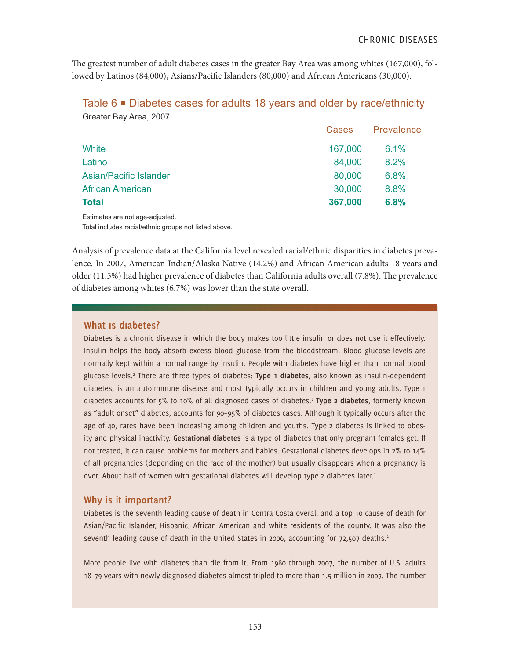The greatest number of adult diabetes cases in the greater Bay Area was among whites (167,000), followed by Latinos (84,000), Asians/Pacific Islanders (80,000) and African Americans (30,000).

| Greater Bay Area, 2007        |         |            |
|-------------------------------|---------|------------|
|                               | Cases   | Prevalence |
| White                         | 167,000 | 6.1%       |
| Latino                        | 84,000  | 8.2%       |
| <b>Asian/Pacific Islander</b> | 80,000  | 6.8%       |
| <b>African American</b>       | 30,000  | 8.8%       |
| <b>Total</b>                  | 367,000 | 6.8%       |

Table  $6 \equiv$  Diabetes cases for adults 18 years and older by race/ethnicity

Estimates are not age-adjusted. Total includes racial/ethnic groups not listed above.

Analysis of prevalence data at the California level revealed racial/ethnic disparities in diabetes prevalence. In 2007, American Indian/Alaska Native (14.2%) and African American adults 18 years and older (11.5%) had higher prevalence of diabetes than California adults overall (7.8%). The prevalence of diabetes among whites (6.7%) was lower than the state overall.

#### **What is diabetes?**

Diabetes is a chronic disease in which the body makes too little insulin or does not use it effectively. Insulin helps the body absorb excess blood glucose from the bloodstream. Blood glucose levels are normally kept within a normal range by insulin. People with diabetes have higher than normal blood glucose levels.2 There are three types of diabetes: **Type 1 diabetes**, also known as insulin-dependent diabetes, is an autoimmune disease and most typically occurs in children and young adults. Type 1 diabetes accounts for 5% to 10% of all diagnosed cases of diabetes.2 **Type 2 diabetes**, formerly known as "adult onset" diabetes, accounts for 90–95% of diabetes cases. Although it typically occurs after the age of 40, rates have been increasing among children and youths. Type 2 diabetes is linked to obesity and physical inactivity. **Gestational diabetes** is a type of diabetes that only pregnant females get. If not treated, it can cause problems for mothers and babies. Gestational diabetes develops in 2% to 14% of all pregnancies (depending on the race of the mother) but usually disappears when a pregnancy is over. About half of women with gestational diabetes will develop type 2 diabetes later.<sup>1</sup>

### **Why is it important?**

Diabetes is the seventh leading cause of death in Contra Costa overall and a top 10 cause of death for Asian/Pacific Islander, Hispanic, African American and white residents of the county. It was also the seventh leading cause of death in the United States in 2006, accounting for 72,507 deaths.<sup>2</sup>

More people live with diabetes than die from it. From 1980 through 2007, the number of U.S. adults 18–79 years with newly diagnosed diabetes almost tripled to more than 1.5 million in 2007. The number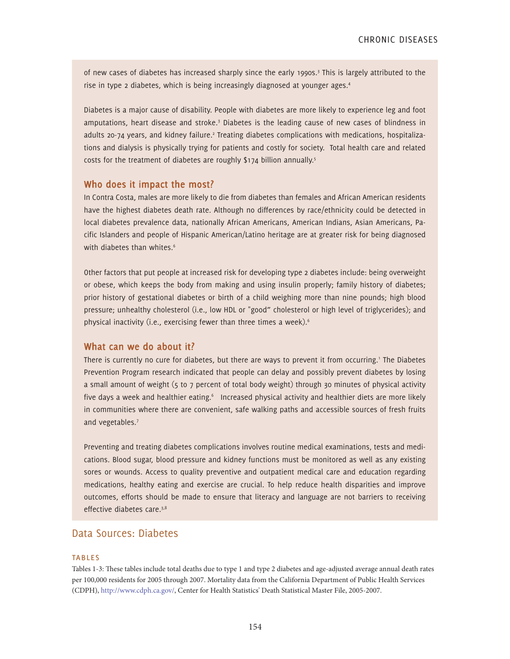of new cases of diabetes has increased sharply since the early 1990s.3 This is largely attributed to the rise in type 2 diabetes, which is being increasingly diagnosed at younger ages.4

Diabetes is a major cause of disability. People with diabetes are more likely to experience leg and foot amputations, heart disease and stroke.<sup>3</sup> Diabetes is the leading cause of new cases of blindness in adults 20-74 years, and kidney failure.<sup>2</sup> Treating diabetes complications with medications, hospitalizations and dialysis is physically trying for patients and costly for society. Total health care and related costs for the treatment of diabetes are roughly \$174 billion annually.<sup>5</sup>

#### **Who does it impact the most?**

In Contra Costa, males are more likely to die from diabetes than females and African American residents have the highest diabetes death rate. Although no differences by race/ethnicity could be detected in local diabetes prevalence data, nationally African Americans, American Indians, Asian Americans, Pacific Islanders and people of Hispanic American/Latino heritage are at greater risk for being diagnosed with diabetes than whites.<sup>6</sup>

Other factors that put people at increased risk for developing type 2 diabetes include: being overweight or obese, which keeps the body from making and using insulin properly; family history of diabetes; prior history of gestational diabetes or birth of a child weighing more than nine pounds; high blood pressure; unhealthy cholesterol (i.e., low HDL or "good" cholesterol or high level of triglycerides); and physical inactivity (i.e., exercising fewer than three times a week).6

#### **What can we do about it?**

There is currently no cure for diabetes, but there are ways to prevent it from occurring.' The Diabetes Prevention Program research indicated that people can delay and possibly prevent diabetes by losing a small amount of weight (5 to 7 percent of total body weight) through 30 minutes of physical activity five days a week and healthier eating.<sup>6</sup> Increased physical activity and healthier diets are more likely in communities where there are convenient, safe walking paths and accessible sources of fresh fruits and vegetables.7

Preventing and treating diabetes complications involves routine medical examinations, tests and medications. Blood sugar, blood pressure and kidney functions must be monitored as well as any existing sores or wounds. Access to quality preventive and outpatient medical care and education regarding medications, healthy eating and exercise are crucial. To help reduce health disparities and improve outcomes, efforts should be made to ensure that literacy and language are not barriers to receiving effective diabetes care.<sup>3,8</sup>

### Data Sources: Diabetes

#### **TABLES**

Tables 1-3: These tables include total deaths due to type 1 and type 2 diabetes and age-adjusted average annual death rates per 100,000 residents for 2005 through 2007. Mortality data from the California Department of Public Health Services (CDPH), http://www.cdph.ca.gov/, Center for Health Statistics' Death Statistical Master File, 2005-2007.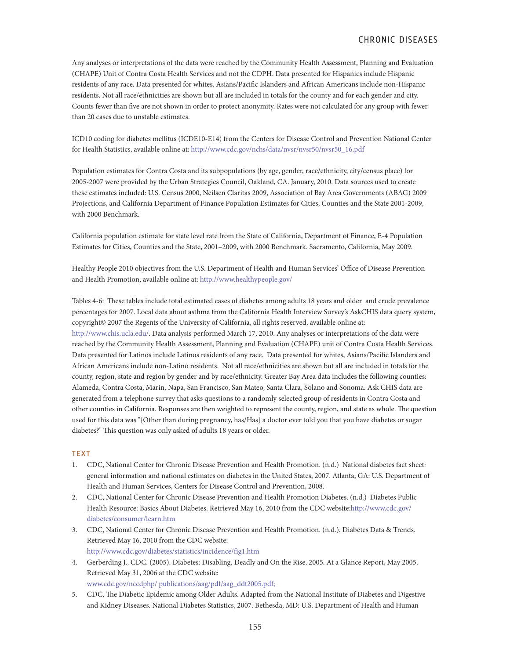Any analyses or interpretations of the data were reached by the Community Health Assessment, Planning and Evaluation (CHAPE) Unit of Contra Costa Health Services and not the CDPH. Data presented for Hispanics include Hispanic residents of any race. Data presented for whites, Asians/Pacific Islanders and African Americans include non-Hispanic residents. Not all race/ethnicities are shown but all are included in totals for the county and for each gender and city. Counts fewer than five are not shown in order to protect anonymity. Rates were not calculated for any group with fewer than 20 cases due to unstable estimates.

ICD10 coding for diabetes mellitus (ICDE10-E14) from the Centers for Disease Control and Prevention National Center for Health Statistics, available online at: http://www.cdc.gov/nchs/data/nvsr/nvsr50/nvsr50\_16.pdf

Population estimates for Contra Costa and its subpopulations (by age, gender, race/ethnicity, city/census place) for 2005-2007 were provided by the Urban Strategies Council, Oakland, CA. January, 2010. Data sources used to create these estimates included: U.S. Census 2000, Neilsen Claritas 2009, Association of Bay Area Governments (ABAG) 2009 Projections, and California Department of Finance Population Estimates for Cities, Counties and the State 2001-2009, with 2000 Benchmark.

California population estimate for state level rate from the State of California, Department of Finance, E-4 Population Estimates for Cities, Counties and the State, 2001–2009, with 2000 Benchmark. Sacramento, California, May 2009.

Healthy People 2010 objectives from the U.S. Department of Health and Human Services' Office of Disease Prevention and Health Promotion, available online at: http://www.healthypeople.gov/

Tables 4-6: These tables include total estimated cases of diabetes among adults 18 years and older and crude prevalence percentages for 2007. Local data about asthma from the California Health Interview Survey's AskCHIS data query system, copyright© 2007 the Regents of the University of California, all rights reserved, available online at:

http://www.chis.ucla.edu/. Data analysis performed March 17, 2010. Any analyses or interpretations of the data were reached by the Community Health Assessment, Planning and Evaluation (CHAPE) unit of Contra Costa Health Services. Data presented for Latinos include Latinos residents of any race. Data presented for whites, Asians/Pacific Islanders and African Americans include non-Latino residents. Not all race/ethnicities are shown but all are included in totals for the county, region, state and region by gender and by race/ethnicity. Greater Bay Area data includes the following counties: Alameda, Contra Costa, Marin, Napa, San Francisco, San Mateo, Santa Clara, Solano and Sonoma. Ask CHIS data are generated from a telephone survey that asks questions to a randomly selected group of residents in Contra Costa and other counties in California. Responses are then weighted to represent the county, region, and state as whole. The question used for this data was "{Other than during pregnancy, has/Has} a doctor ever told you that you have diabetes or sugar diabetes?" This question was only asked of adults 18 years or older.

#### **TFXT**

- 1. CDC, National Center for Chronic Disease Prevention and Health Promotion. (n.d.) National diabetes fact sheet: general information and national estimates on diabetes in the United States, 2007. Atlanta, GA: U.S. Department of Health and Human Services, Centers for Disease Control and Prevention, 2008.
- 2. CDC, National Center for Chronic Disease Prevention and Health Promotion Diabetes. (n.d.) Diabetes Public Health Resource: Basics About Diabetes. Retrieved May 16, 2010 from the CDC website:http://www.cdc.gov/ diabetes/consumer/learn.htm
- 3. CDC, National Center for Chronic Disease Prevention and Health Promotion. (n.d.). Diabetes Data & Trends. Retrieved May 16, 2010 from the CDC website: http://www.cdc.gov/diabetes/statistics/incidence/fig1.htm
- 4. Gerberding J., CDC. (2005). Diabetes: Disabling, Deadly and On the Rise, 2005. At a Glance Report, May 2005. Retrieved May 31, 2006 at the CDC website: www.cdc.gov/nccdphp/ publications/aag/pdf/aag\_ddt2005.pdf;
- 5. CDC, The Diabetic Epidemic among Older Adults. Adapted from the National Institute of Diabetes and Digestive and Kidney Diseases. National Diabetes Statistics, 2007. Bethesda, MD: U.S. Department of Health and Human